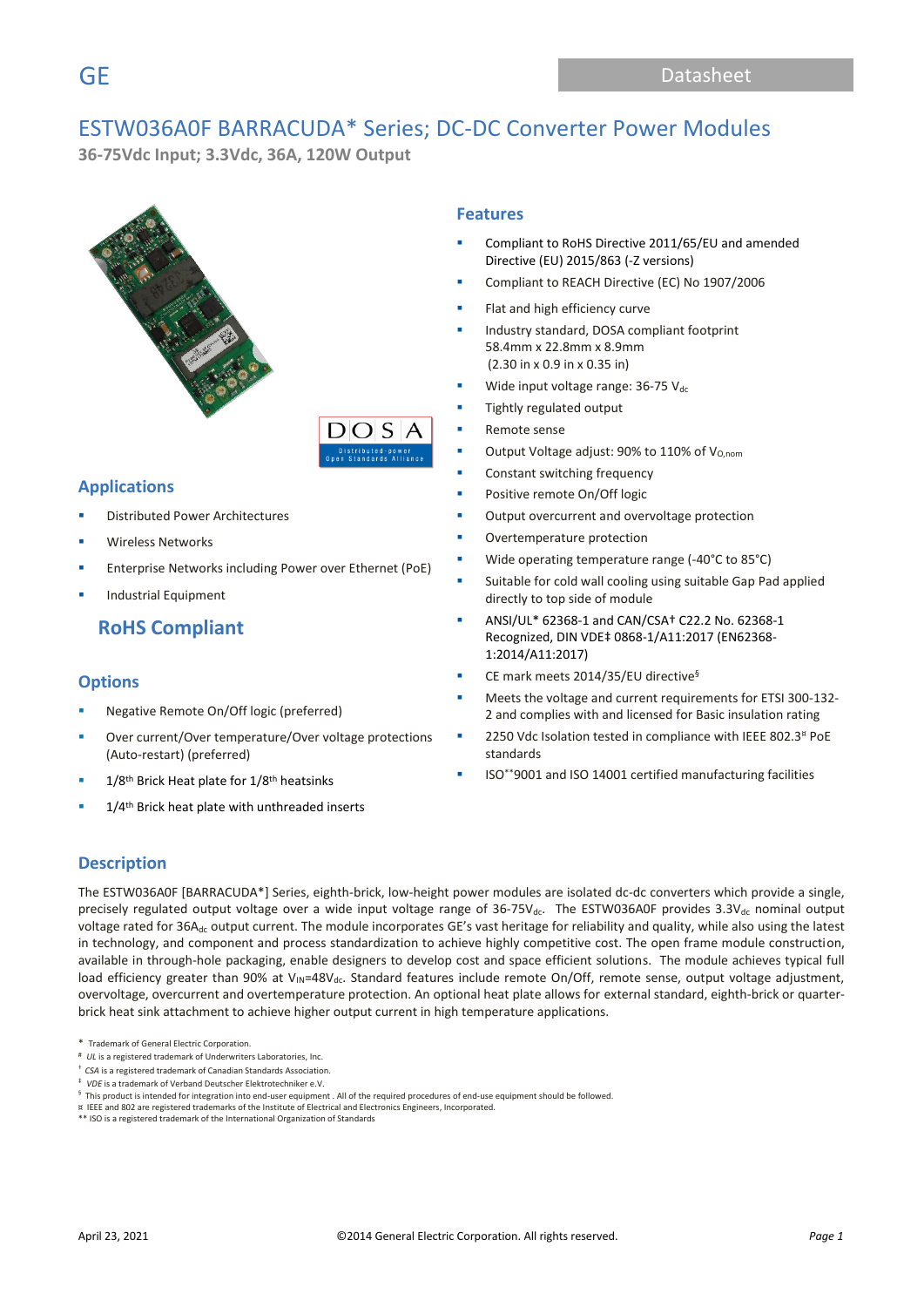# ESTW036A0F BARRACUDA\* Series; DC-DC Converter Power Modules

 $DOS$ 

**36-75Vdc Input; 3.3Vdc, 36A, 120W Output** 



### **Applications**

- **Distributed Power Architectures**
- Wireless Networks
- Enterprise Networks including Power over Ethernet (PoE)
- **Industrial Equipment**

# **RoHS Compliant**

### **Options**

- Negative Remote On/Off logic (preferred)
- Over current/Over temperature/Over voltage protections (Auto-restart) (preferred)
- $1/8$ <sup>th</sup> Brick Heat plate for  $1/8$ <sup>th</sup> heatsinks
- 1/4<sup>th</sup> Brick heat plate with unthreaded inserts

### **Features**

- Compliant to RoHS Directive 2011/65/EU and amended Directive (EU) 2015/863 (-Z versions)
- Compliant to REACH Directive (EC) No 1907/2006
- Flat and high efficiency curve
- Industry standard, DOSA compliant footprint 58.4mm x 22.8mm x 8.9mm (2.30 in x 0.9 in x 0.35 in)
- Wide input voltage range:  $36-75$  Vdc
- Tightly regulated output
- Remote sense
- Output Voltage adjust: 90% to 110% of  $V_{O,nom}$
- Constant switching frequency
- Positive remote On/Off logic
- Output overcurrent and overvoltage protection
- Overtemperature protection
- Wide operating temperature range (-40°C to 85°C)
- Suitable for cold wall cooling using suitable Gap Pad applied directly to top side of module
- ANSI/UL\* 62368-1 and CAN/CSA† C22.2 No. 62368-1 Recognized, DIN VDE‡ 0868-1/A11:2017 (EN62368- 1:2014/A11:2017)
- CE mark meets 2014/35/EU directive<sup>§</sup>
- Meets the voltage and current requirements for ETSI 300-132-2 and complies with and licensed for Basic insulation rating
- 2250 Vdc Isolation tested in compliance with IEEE 802.3<sup>¤</sup> PoE standards
- ISO\*\*9001 and ISO 14001 certified manufacturing facilities

### **Description**

The ESTW036A0F [BARRACUDA\*] Series, eighth-brick, low-height power modules are isolated dc-dc converters which provide a single, precisely regulated output voltage over a wide input voltage range of  $36-75V_{dc}$ . The ESTW036A0F provides  $3.3V_{dc}$  nominal output voltage rated for 36A<sub>dc</sub> output current. The module incorporates GE's vast heritage for reliability and quality, while also using the latest in technology, and component and process standardization to achieve highly competitive cost. The open frame module construction, available in through-hole packaging, enable designers to develop cost and space efficient solutions. The module achieves typical full load efficiency greater than 90% at  $V_{IN}=48V_{dc}$ . Standard features include remote On/Off, remote sense, output voltage adjustment, overvoltage, overcurrent and overtemperature protection. An optional heat plate allows for external standard, eighth-brick or quarterbrick heat sink attachment to achieve higher output current in high temperature applications.

‡ *VDE* is a trademark of Verband Deutscher Elektrotechniker e.V.

¤ IEEE and 802 are registered trademarks of the Institute of Electrical and Electronics Engineers, Incorporated.

<sup>\*</sup> Trademark of General Electric Corporation.

<sup>#</sup> *UL* is a registered trademark of Underwriters Laboratories, Inc.

<sup>†</sup> *CSA* is a registered trademark of Canadian Standards Association.

 $§$  This product is intended for integration into end-user equipment . All of the required procedures of end-use equipment should be followed.

<sup>\*\*</sup> ISO is a registered trademark of the International Organization of Standards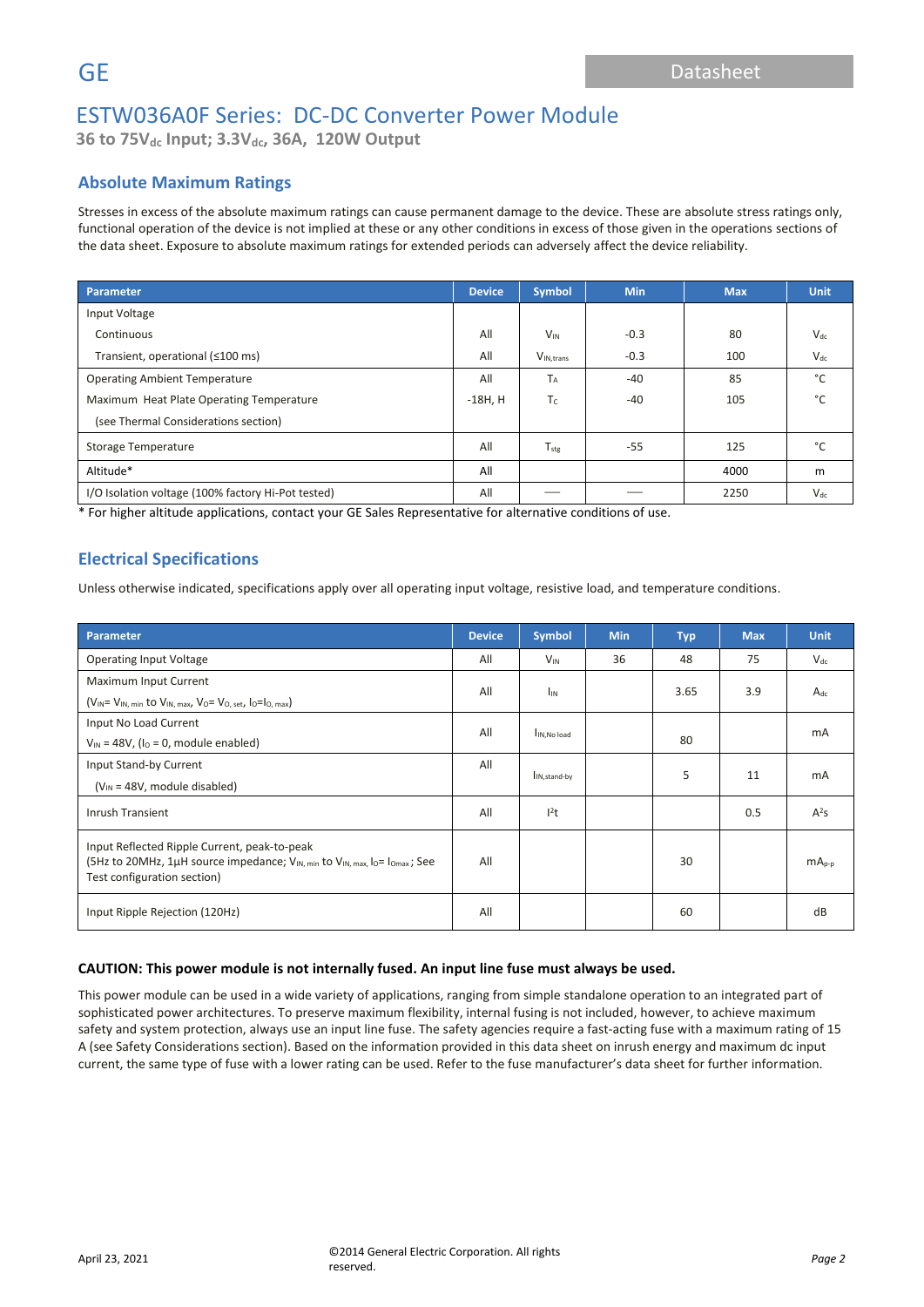**36 to 75Vdc Input; 3.3Vdc, 36A, 120W Output**

## **Absolute Maximum Ratings**

Stresses in excess of the absolute maximum ratings can cause permanent damage to the device. These are absolute stress ratings only, functional operation of the device is not implied at these or any other conditions in excess of those given in the operations sections of the data sheet. Exposure to absolute maximum ratings for extended periods can adversely affect the device reliability.

| Parameter                                          |     | Symbol                | <b>Min</b> | <b>Max</b> | <b>Unit</b> |
|----------------------------------------------------|-----|-----------------------|------------|------------|-------------|
| Input Voltage                                      |     |                       |            |            |             |
| Continuous                                         | All | $V_{IN}$              | $-0.3$     | 80         | $V_{dc}$    |
| Transient, operational (≤100 ms)                   |     | V <sub>IN.trans</sub> | $-0.3$     | 100        | $V_{dc}$    |
| <b>Operating Ambient Temperature</b>               |     | T <sub>A</sub>        | $-40$      | 85         | °C          |
| Maximum Heat Plate Operating Temperature           |     | $T_c$                 | $-40$      | 105        | °C          |
| (see Thermal Considerations section)               |     |                       |            |            |             |
| Storage Temperature                                |     | $T_{\rm stg}$         | $-55$      | 125        | °C          |
| Altitude*                                          |     |                       |            | 4000       | m           |
| I/O Isolation voltage (100% factory Hi-Pot tested) |     |                       |            | 2250       | $V_{dc}$    |

\* For higher altitude applications, contact your GE Sales Representative for alternative conditions of use.

### **Electrical Specifications**

Unless otherwise indicated, specifications apply over all operating input voltage, resistive load, and temperature conditions.

| Parameter                                                                                                                                                                                      |     | <b>Symbol</b>             | <b>Min</b>  | <b>Typ</b> | <b>Max</b> | <b>Unit</b> |  |
|------------------------------------------------------------------------------------------------------------------------------------------------------------------------------------------------|-----|---------------------------|-------------|------------|------------|-------------|--|
| <b>Operating Input Voltage</b>                                                                                                                                                                 | All | $V_{IN}$                  | 36          | 48         | 75         | $V_{dc}$    |  |
| Maximum Input Current                                                                                                                                                                          | All | <b>I</b> IN               |             | 3.65       | 3.9        | $A_{dc}$    |  |
| $(V_{IN} = V_{IN, min}$ to $V_{IN, max}$ , $V_0 = V_{O, set}$ , $I_0 = I_{O, max}$                                                                                                             |     |                           |             |            |            |             |  |
| Input No Load Current                                                                                                                                                                          | All |                           |             |            |            | mA          |  |
| $V_{IN}$ = 48V, ( $I_{O}$ = 0, module enabled)                                                                                                                                                 |     |                           | IN, No load |            |            |             |  |
| Input Stand-by Current                                                                                                                                                                         | All | I <sub>IN, stand-by</sub> |             | 5          | 11         | mA          |  |
| $(V_{IN} = 48V$ , module disabled)                                                                                                                                                             |     |                           |             |            |            |             |  |
| <b>Inrush Transient</b>                                                                                                                                                                        |     | 1 <sup>2</sup> t          |             |            | 0.5        | $A^2S$      |  |
| Input Reflected Ripple Current, peak-to-peak<br>(5Hz to 20MHz, 1µH source impedance; V <sub>IN, min</sub> to V <sub>IN, max</sub> , lo= lo <sub>max</sub> ; See<br>Test configuration section) |     |                           |             | 30         |            | $mA_{p-p}$  |  |
| Input Ripple Rejection (120Hz)                                                                                                                                                                 |     |                           |             | 60         |            | dB          |  |

### **CAUTION: This power module is not internally fused. An input line fuse must always be used.**

This power module can be used in a wide variety of applications, ranging from simple standalone operation to an integrated part of sophisticated power architectures. To preserve maximum flexibility, internal fusing is not included, however, to achieve maximum safety and system protection, always use an input line fuse. The safety agencies require a fast-acting fuse with a maximum rating of 15 A (see Safety Considerations section). Based on the information provided in this data sheet on inrush energy and maximum dc input current, the same type of fuse with a lower rating can be used. Refer to the fuse manufacturer's data sheet for further information.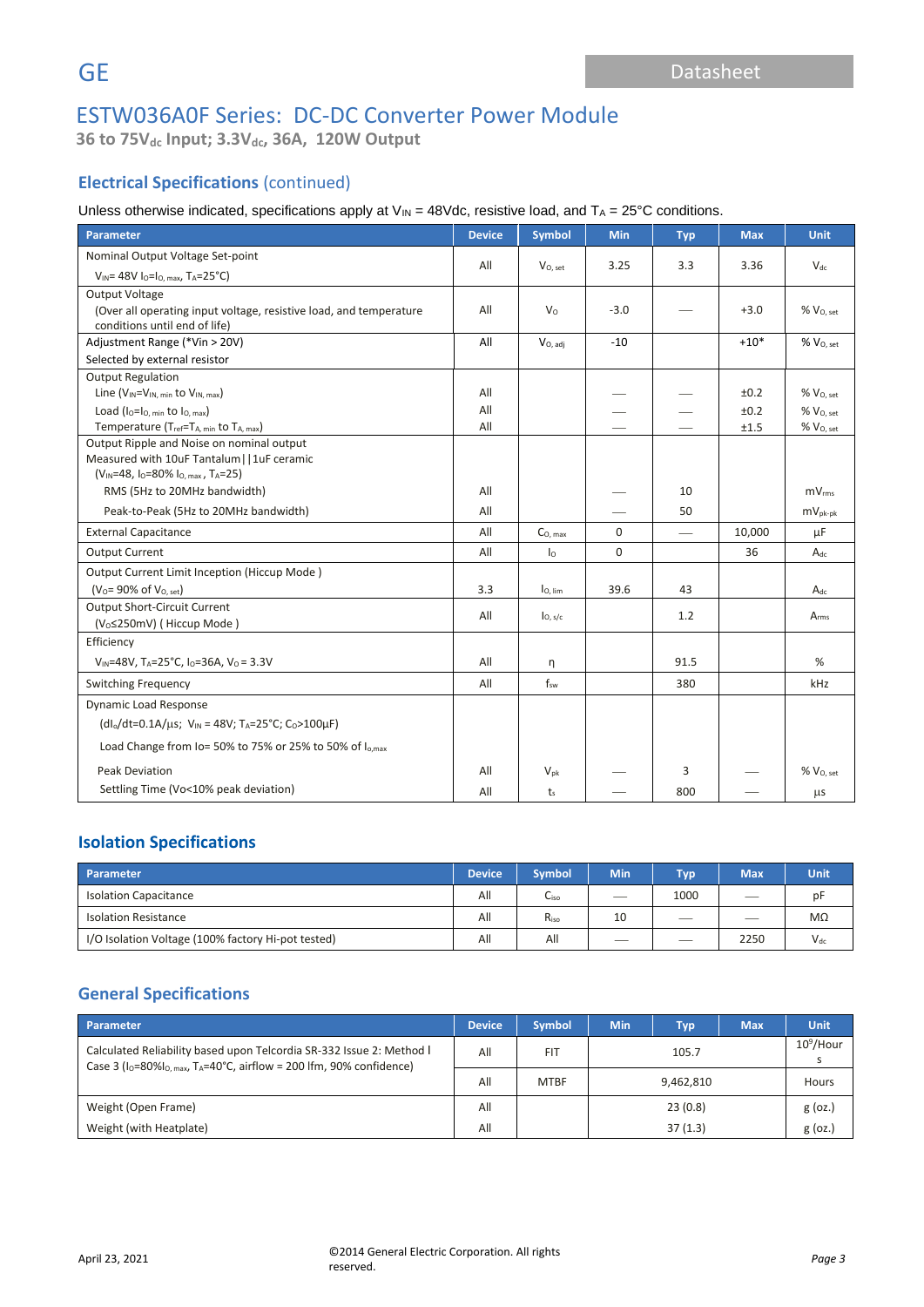**36 to 75Vdc Input; 3.3Vdc, 36A, 120W Output**

# **Electrical Specifications** (continued)

Unless otherwise indicated, specifications apply at  $V_{IN} = 48V$ dc, resistive load, and  $T_A = 25^{\circ}C$  conditions.

| Parameter                                                                       |     | <b>Symbol</b>        | <b>Min</b> | <b>Typ</b>               | <b>Max</b> | <b>Unit</b>              |
|---------------------------------------------------------------------------------|-----|----------------------|------------|--------------------------|------------|--------------------------|
| Nominal Output Voltage Set-point                                                |     |                      |            |                          |            |                          |
| $V_{IN}$ = 48V lo=lo, max, TA=25°C)                                             | All | V <sub>O</sub> , set | 3.25       | 3.3                      | 3.36       | $V_{dc}$                 |
| <b>Output Voltage</b>                                                           |     |                      |            |                          |            |                          |
| (Over all operating input voltage, resistive load, and temperature              | All | $V_0$                | $-3.0$     |                          | $+3.0$     | $\%$ $\rm V_{O, \, set}$ |
| conditions until end of life)                                                   |     |                      |            |                          |            |                          |
| Adjustment Range (*Vin > 20V)                                                   | All | $V_{O, \, adj}$      | $-10$      |                          | $+10*$     | % V <sub>O, set</sub>    |
| Selected by external resistor                                                   |     |                      |            |                          |            |                          |
| <b>Output Regulation</b>                                                        |     |                      |            |                          |            |                          |
| Line (V <sub>IN</sub> =V <sub>IN, min</sub> to V <sub>IN, max</sub> )           | All |                      |            |                          | ±0.2       | $%$ $V0. set$            |
| Load ( $I_0 = I_0$ , min to $I_0$ , max)                                        | All |                      |            |                          | ±0.2       | % V <sub>0. set</sub>    |
| Temperature (T <sub>ref</sub> =T <sub>A, min</sub> to T <sub>A, max</sub> )     | All |                      |            |                          | ±1.5       | % V <sub>O, set</sub>    |
| Output Ripple and Noise on nominal output                                       |     |                      |            |                          |            |                          |
| Measured with 10uF Tantalum     1uF ceramic                                     |     |                      |            |                          |            |                          |
| $(V_{1N}=48, I_0=80\% I_{0, max}, T_A=25)$                                      |     |                      |            |                          |            |                          |
| RMS (5Hz to 20MHz bandwidth)                                                    |     |                      |            | 10                       |            | mV <sub>rms</sub>        |
| Peak-to-Peak (5Hz to 20MHz bandwidth)                                           |     |                      |            | 50                       |            | $mV_{pk-pk}$             |
| <b>External Capacitance</b>                                                     |     | $C_{\rm O, \, max}$  | 0          | $\overline{\phantom{0}}$ | 10,000     | μF                       |
| <b>Output Current</b>                                                           | All | $\overline{10}$      | $\Omega$   |                          | 36         | $A_{dc}$                 |
| Output Current Limit Inception (Hiccup Mode)                                    |     |                      |            |                          |            |                          |
| $(V_0 = 90\% \text{ of } V_{0, \text{ set}})$                                   | 3.3 | $I_{0, \, lim}$      | 39.6       | 43                       |            | $A_{dc}$                 |
| <b>Output Short-Circuit Current</b>                                             | All | I <sub>O, s/c</sub>  |            | 1.2                      |            | $A_{rms}$                |
| (V <sub>o</sub> ≤250mV) (Hiccup Mode)                                           |     |                      |            |                          |            |                          |
| Efficiency                                                                      |     |                      |            |                          |            |                          |
| $V_{1N}$ =48V, T <sub>A</sub> =25°C, I <sub>0</sub> =36A, V <sub>0</sub> = 3.3V |     | n                    |            | 91.5                     |            | %                        |
| <b>Switching Frequency</b>                                                      |     | $f_{sw}$             |            | 380                      |            | kHz                      |
| <b>Dynamic Load Response</b>                                                    |     |                      |            |                          |            |                          |
| $(dI_0/dt=0.1A/\mu s; V_{IN} = 48V; T_A=25°C; C_0>100\mu F)$                    |     |                      |            |                          |            |                          |
| Load Change from Io= 50% to 75% or 25% to 50% of I <sub>o.max</sub>             |     |                      |            |                          |            |                          |
| <b>Peak Deviation</b>                                                           |     | $V_{pk}$             |            | 3                        |            | $%$ $V0. set$            |
| Settling Time (Vo<10% peak deviation)                                           |     | t <sub>s</sub>       |            | 800                      |            | $\mu$ s                  |

### **Isolation Specifications**

| Parameter                                          |     | <b>Symbol</b> | <b>Min</b> | Tvo <sup>1</sup> | <b>Max</b>               | <b>Unit</b> |
|----------------------------------------------------|-----|---------------|------------|------------------|--------------------------|-------------|
| <b>Isolation Capacitance</b>                       | All | Liso          |            | 1000             | $\overline{\phantom{a}}$ | рF          |
| <b>Isolation Resistance</b>                        |     | $R_{\rm iso}$ | 10         | __               | __                       | MΩ          |
| I/O Isolation Voltage (100% factory Hi-pot tested) |     | All           | ___        | __               | 2250                     | $V_{dc}$    |

## **General Specifications**

| Parameter                                                                                                                                                               |     | <b>Symbol</b> | <b>Min</b> | <b>Typ</b> | <b>Max</b> | Unit <sup>'</sup> |
|-------------------------------------------------------------------------------------------------------------------------------------------------------------------------|-----|---------------|------------|------------|------------|-------------------|
| Calculated Reliability based upon Telcordia SR-332 Issue 2: Method I<br>Case 3 ( $I_0$ =80% $I_0$ , $_{max}$ , T <sub>A</sub> =40°C, airflow = 200 lfm, 90% confidence) |     | <b>FIT</b>    | 105.7      |            |            | $10^9$ /Hour      |
|                                                                                                                                                                         |     | <b>MTBF</b>   | 9,462,810  |            |            | Hours             |
| Weight (Open Frame)                                                                                                                                                     | All |               | 23(0.8)    |            | $g$ (oz.)  |                   |
| Weight (with Heatplate)                                                                                                                                                 | All |               | 37(1.3)    |            | $g$ (oz.)  |                   |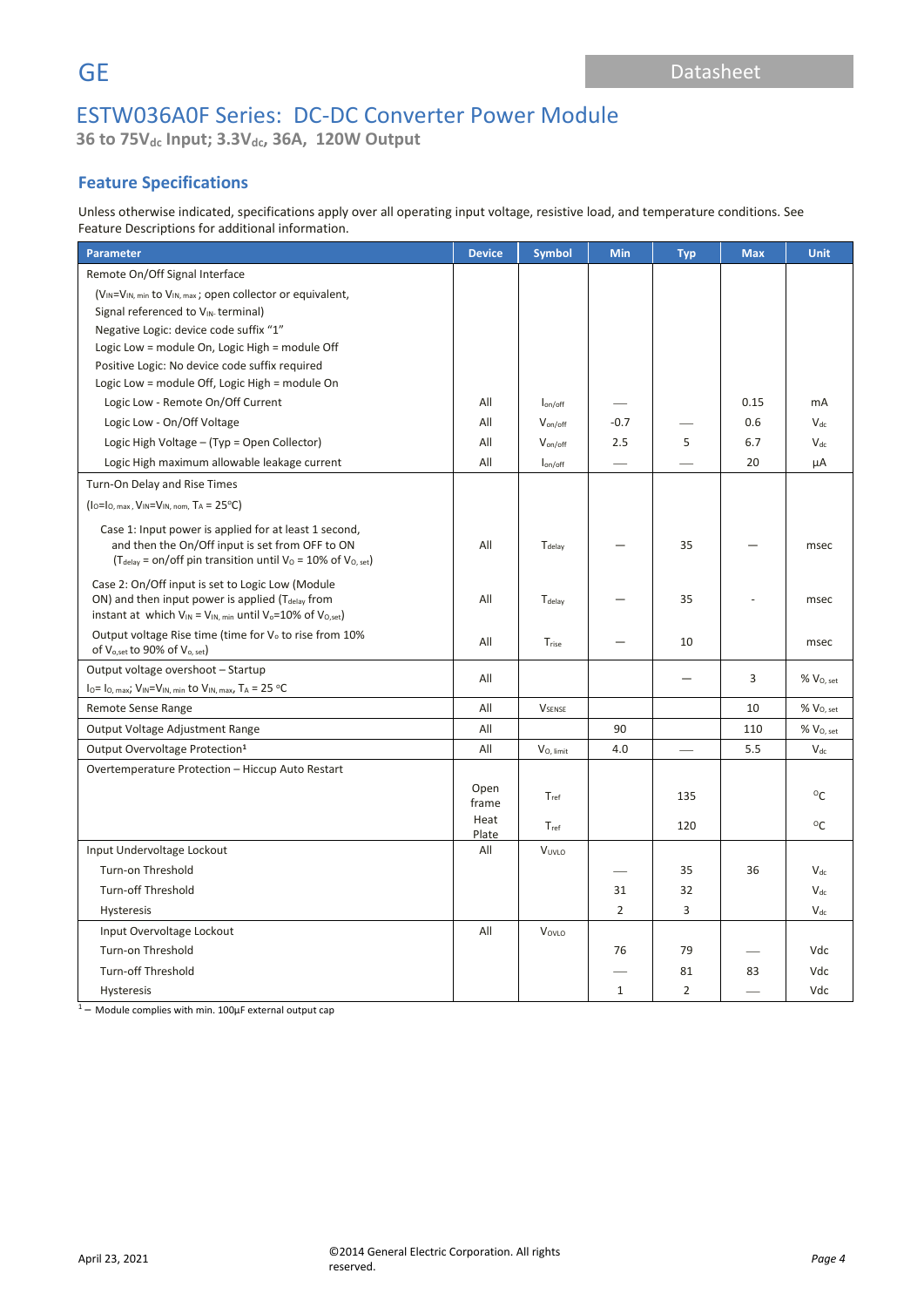**36 to 75Vdc Input; 3.3Vdc, 36A, 120W Output**

## **Feature Specifications**

Unless otherwise indicated, specifications apply over all operating input voltage, resistive load, and temperature conditions. See Feature Descriptions for additional information.

| Parameter                                                                                                                                                                                      | <b>Device</b> | <b>Symbol</b>          | Min            | <b>Typ</b>     | <b>Max</b> | <b>Unit</b>      |
|------------------------------------------------------------------------------------------------------------------------------------------------------------------------------------------------|---------------|------------------------|----------------|----------------|------------|------------------|
| Remote On/Off Signal Interface                                                                                                                                                                 |               |                        |                |                |            |                  |
| (V <sub>IN</sub> =V <sub>IN, min</sub> to V <sub>IN, max</sub> ; open collector or equivalent,                                                                                                 |               |                        |                |                |            |                  |
| Signal referenced to VIN-terminal)                                                                                                                                                             |               |                        |                |                |            |                  |
| Negative Logic: device code suffix "1"                                                                                                                                                         |               |                        |                |                |            |                  |
| Logic Low = module On, Logic High = module Off                                                                                                                                                 |               |                        |                |                |            |                  |
| Positive Logic: No device code suffix required                                                                                                                                                 |               |                        |                |                |            |                  |
| Logic Low = module Off, Logic High = module On                                                                                                                                                 |               |                        |                |                |            |                  |
| Logic Low - Remote On/Off Current                                                                                                                                                              | All           | $I_{on/off}$           |                |                | 0.15       | mA               |
| Logic Low - On/Off Voltage                                                                                                                                                                     | All           | V <sub>on/off</sub>    | $-0.7$         |                | 0.6        | $V_{dc}$         |
| Logic High Voltage - (Typ = Open Collector)                                                                                                                                                    | All           | $V_{\text{on/off}}$    | 2.5            | 5              | 6.7        | $V_{dc}$         |
| Logic High maximum allowable leakage current                                                                                                                                                   | All           | $I_{on/off}$           |                |                | 20         | μA               |
| Turn-On Delay and Rise Times                                                                                                                                                                   |               |                        |                |                |            |                  |
| $(10=10, max, V1N=V1N, nom, TA= 25oC)$                                                                                                                                                         |               |                        |                |                |            |                  |
| Case 1: Input power is applied for at least 1 second,<br>and then the On/Off input is set from OFF to ON<br>( $T_{delay}$ = on/off pin transition until $V_0$ = 10% of $V_{0, set}$ )          | All           | T <sub>delay</sub>     |                | 35             |            | msec             |
| Case 2: On/Off input is set to Logic Low (Module<br>ON) and then input power is applied (T <sub>delay</sub> from<br>instant at which $V_{IN} = V_{IN, min}$ until $V_o = 10\%$ of $V_{O, set}$ |               | Tdelay                 |                | 35             |            | msec             |
| Output voltage Rise time (time for V <sub>o</sub> to rise from 10%<br>of V <sub>o,set</sub> to 90% of V <sub>o, set</sub> )                                                                    |               | Trise                  |                | 10             |            | msec             |
| Output voltage overshoot - Startup                                                                                                                                                             | All           |                        |                |                | 3          | $%$ $V_{O, set}$ |
| $I_0 = I_{0, max}$ ; $V_{IN} = V_{IN, min}$ to $V_{IN, max}$ , $T_A = 25$ °C                                                                                                                   |               |                        |                |                |            |                  |
| Remote Sense Range                                                                                                                                                                             | All           | <b>V</b> SENSE         |                |                | 10         | $%$ $VO, set$    |
| Output Voltage Adjustment Range                                                                                                                                                                | All           |                        | 90             |                | 110        | % Vo, set        |
| Output Overvoltage Protection <sup>1</sup>                                                                                                                                                     | All           | V <sub>O</sub> , limit | 4.0            |                | 5.5        | $V_{dc}$         |
| Overtemperature Protection - Hiccup Auto Restart                                                                                                                                               |               |                        |                |                |            |                  |
|                                                                                                                                                                                                | Open<br>frame | Tref                   |                | 135            |            | $^{\circ}$ C     |
|                                                                                                                                                                                                |               | $T_{ref}$              |                | 120            |            | °C               |
| Input Undervoltage Lockout                                                                                                                                                                     |               | VUVLO                  |                |                |            |                  |
| Turn-on Threshold                                                                                                                                                                              |               |                        |                | 35             | 36         | $V_{dc}$         |
| <b>Turn-off Threshold</b>                                                                                                                                                                      |               |                        | 31             | 32             |            | $V_{dc}$         |
| Hysteresis                                                                                                                                                                                     |               |                        | $\overline{2}$ | 3              |            | $V_{dc}$         |
| Input Overvoltage Lockout                                                                                                                                                                      |               | VOVLO                  |                |                |            |                  |
| Turn-on Threshold                                                                                                                                                                              |               |                        | 76             | 79             |            | Vdc              |
| <b>Turn-off Threshold</b>                                                                                                                                                                      |               |                        |                | 81             | 83         | Vdc              |
| Hysteresis                                                                                                                                                                                     |               |                        | $\mathbf{1}$   | $\overline{2}$ |            | Vdc              |

 $1 -$  Module complies with min. 100 $\mu$ F external output cap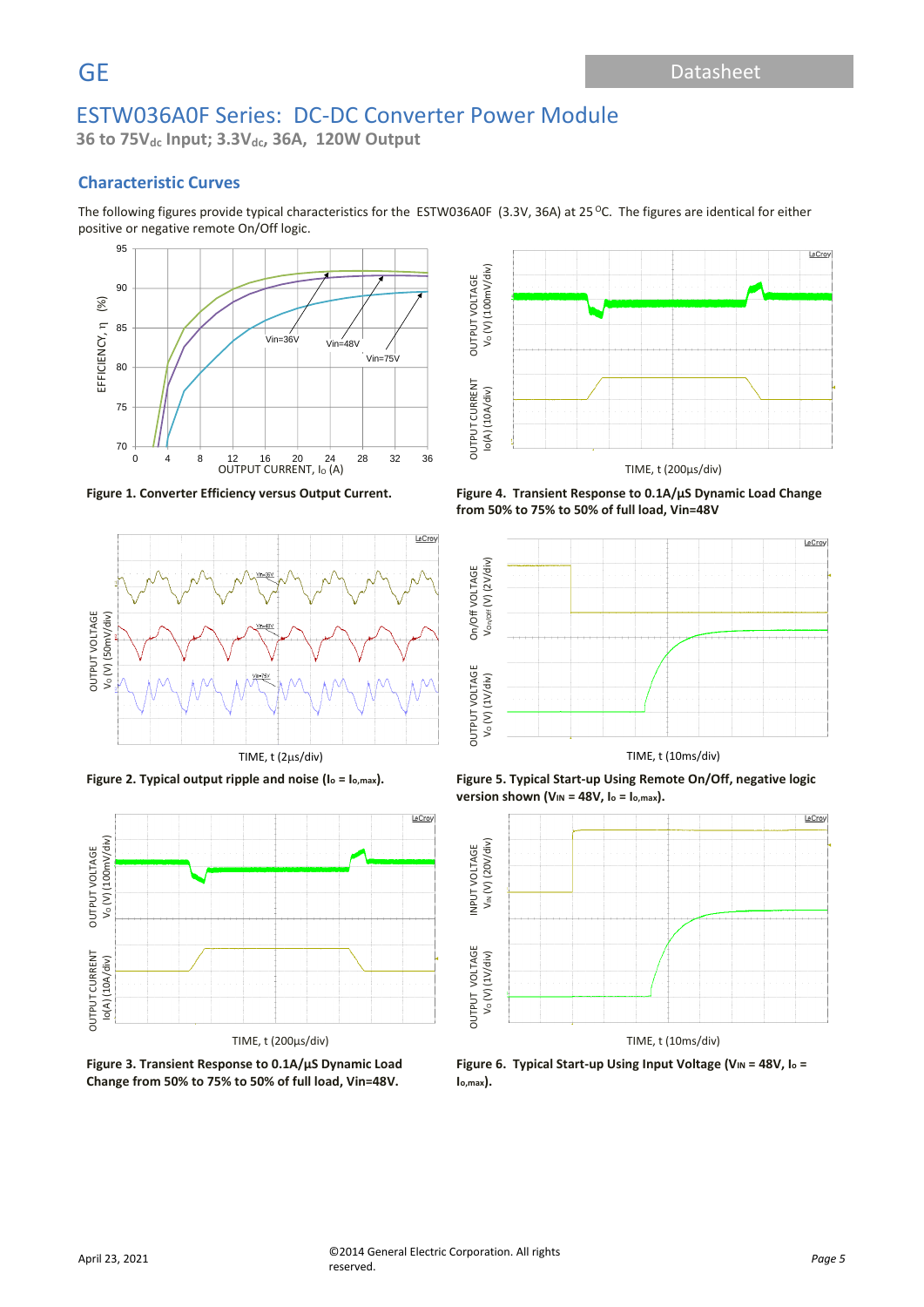**36 to 75Vdc Input; 3.3Vdc, 36A, 120W Output**

## **Characteristic Curves**

The following figures provide typical characteristics for the ESTW036A0F (3.3V, 36A) at 25 °C. The figures are identical for either positive or negative remote On/Off logic.







**Figure 3. Transient Response to 0.1A/µS Dynamic Load Change from 50% to 75% to 50% of full load, Vin=48V.**



**Figure 1. Converter Efficiency versus Output Current. Figure 4. Transient Response to 0.1A/µS Dynamic Load Change from 50% to 75% to 50% of full load, Vin=48V**







**Figure 6. Typical Start-up Using Input Voltage (V<sub>IN</sub> = 48V, I<sub>0</sub> = Io,max).**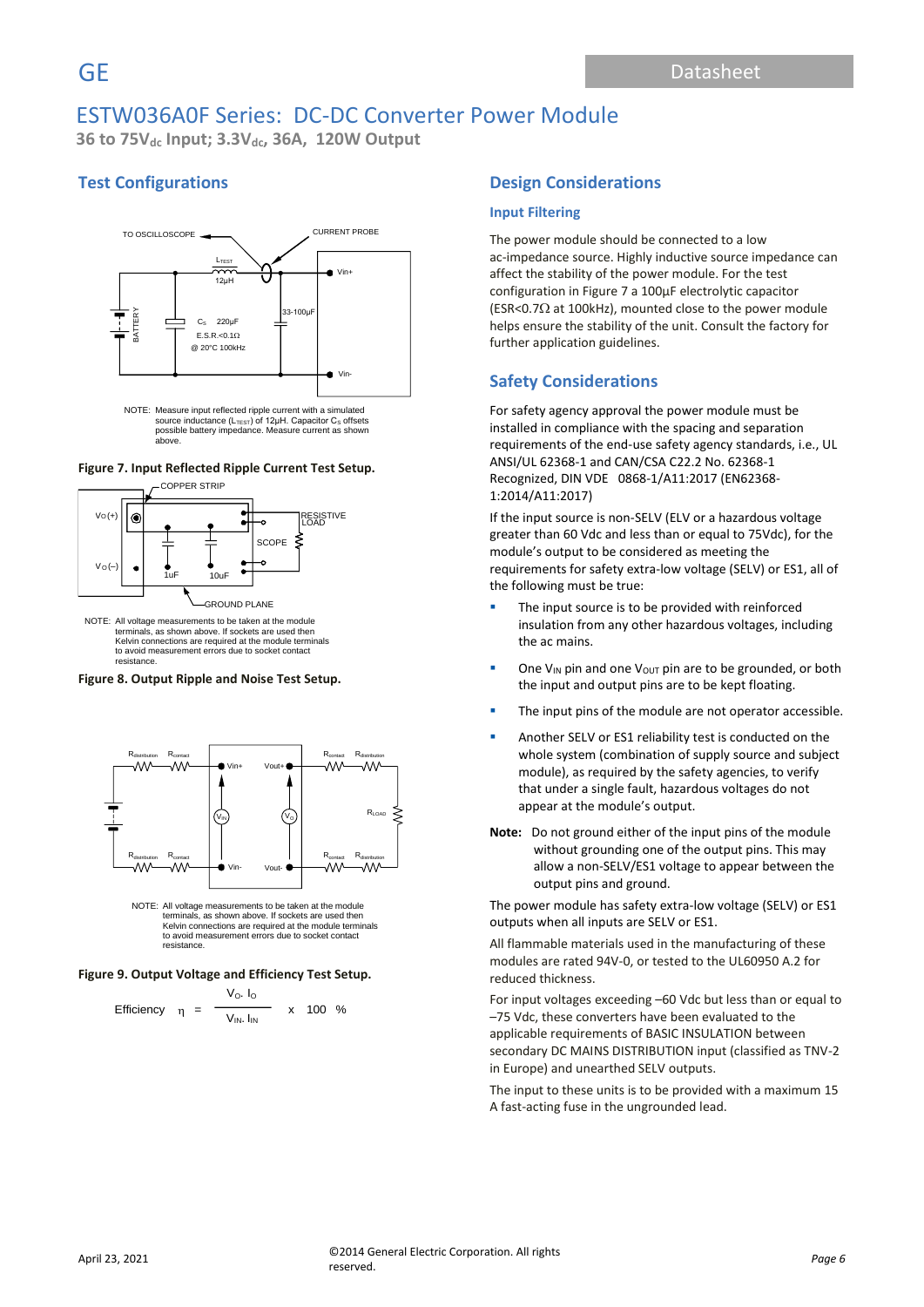**36 to 75Vdc Input; 3.3Vdc, 36A, 120W Output**

# **Test Configurations**



source inductance (L<sub>TEsT</sub>) of 12μH. Capacitor C<sub>s</sub> offsets<br>possible battery impedance. Measure current as shown above.

#### **Figure 7. Input Reflected Ripple Current Test Setup.**



NOTE: All voltage measurements to be taken at the module terminals, as shown above. If sockets are used then Kelvin connections are required at the module terminals to avoid measurement errors due to socket contact resistance.

#### **Figure 8. Output Ripple and Noise Test Setup.**



NOTE: All voltage measurements to be taken at the module terminals, as shown above. If sockets are used then Kelvin connections are required at the module terminals to avoid measurement errors due to socket contact resistance.

#### **Figure 9. Output Voltage and Efficiency Test Setup.**

Efficiency 
$$
\eta = \frac{V_0 I_0}{V_{IN} I_{IN}}
$$
 x 100 %

### **Design Considerations**

#### **Input Filtering**

The power module should be connected to a low ac-impedance source. Highly inductive source impedance can affect the stability of the power module. For the test configuration in Figure 7 a 100μF electrolytic capacitor (ESR<0.7 $\Omega$  at 100kHz), mounted close to the power module helps ensure the stability of the unit. Consult the factory for further application guidelines.

### **Safety Considerations**

For safety agency approval the power module must be installed in compliance with the spacing and separation requirements of the end-use safety agency standards, i.e., UL ANSI/UL 62368-1 and CAN/CSA C22.2 No. 62368-1 Recognized, DIN VDE 0868-1/A11:2017 (EN62368- 1:2014/A11:2017)

If the input source is non-SELV (ELV or a hazardous voltage greater than 60 Vdc and less than or equal to 75Vdc), for the module's output to be considered as meeting the requirements for safety extra-low voltage (SELV) or ES1, all of the following must be true:

- The input source is to be provided with reinforced insulation from any other hazardous voltages, including the ac mains.
- **•** One V<sub>IN</sub> pin and one V<sub>OUT</sub> pin are to be grounded, or both the input and output pins are to be kept floating.
- The input pins of the module are not operator accessible.
- Another SELV or ES1 reliability test is conducted on the whole system (combination of supply source and subject module), as required by the safety agencies, to verify that under a single fault, hazardous voltages do not appear at the module's output.
- **Note:** Do not ground either of the input pins of the module without grounding one of the output pins. This may allow a non-SELV/ES1 voltage to appear between the output pins and ground.

The power module has safety extra-low voltage (SELV) or ES1 outputs when all inputs are SELV or ES1.

All flammable materials used in the manufacturing of these modules are rated 94V-0, or tested to the UL60950 A.2 for reduced thickness.

For input voltages exceeding –60 Vdc but less than or equal to –75 Vdc, these converters have been evaluated to the applicable requirements of BASIC INSULATION between secondary DC MAINS DISTRIBUTION input (classified as TNV-2 in Europe) and unearthed SELV outputs.

The input to these units is to be provided with a maximum 15 A fast-acting fuse in the ungrounded lead.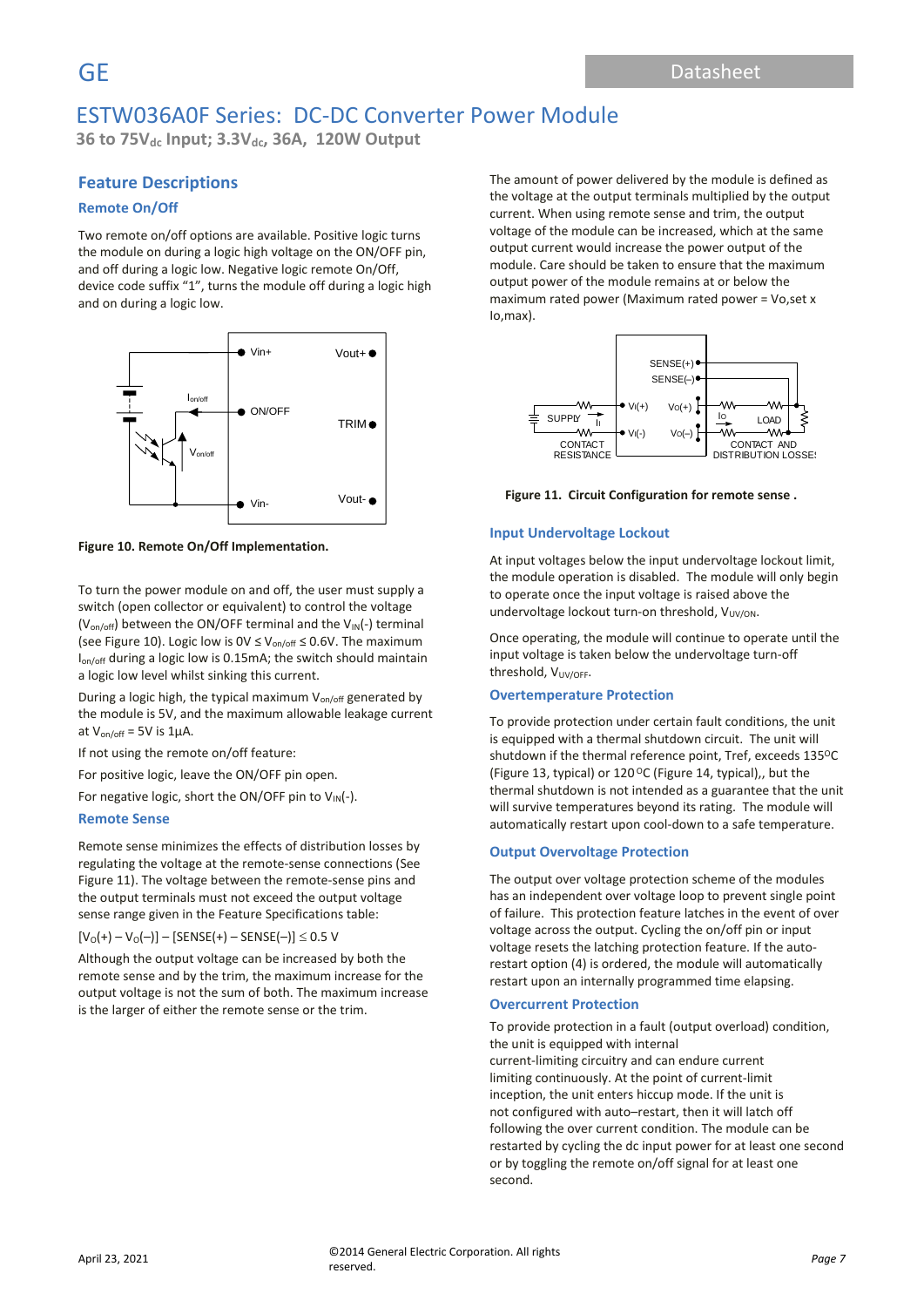**36 to 75Vdc Input; 3.3Vdc, 36A, 120W Output**

### **Feature Descriptions**

#### **Remote On/Off**

Two remote on/off options are available. Positive logic turns the module on during a logic high voltage on the ON/OFF pin, and off during a logic low. Negative logic remote On/Off, device code suffix "1", turns the module off during a logic high and on during a logic low.



**Figure 10. Remote On/Off Implementation.**

To turn the power module on and off, the user must supply a switch (open collector or equivalent) to control the voltage ( $V_{on/off}$ ) between the ON/OFF terminal and the  $V_{IN}(-)$  terminal (see Figure 10). Logic low is  $0 \vee \leq V_{on/off} \leq 0.6 V$ . The maximum Ion/off during a logic low is 0.15mA; the switch should maintain a logic low level whilst sinking this current.

During a logic high, the typical maximum  $V_{on/off}$  generated by the module is 5V, and the maximum allowable leakage current at  $V_{on/off}$  = 5V is 1µA.

If not using the remote on/off feature:

For positive logic, leave the ON/OFF pin open.

For negative logic, short the ON/OFF pin to  $V_{\text{IN}}(-)$ .

#### **Remote Sense**

Remote sense minimizes the effects of distribution losses by regulating the voltage at the remote-sense connections (See Figure 11). The voltage between the remote-sense pins and the output terminals must not exceed the output voltage sense range given in the Feature Specifications table:

 $[V<sub>O</sub>(+) - V<sub>O</sub>(-)]-$  [SENSE(+) – SENSE(-)]  $\leq$  0.5 V

Although the output voltage can be increased by both the remote sense and by the trim, the maximum increase for the output voltage is not the sum of both. The maximum increase is the larger of either the remote sense or the trim.

The amount of power delivered by the module is defined as the voltage at the output terminals multiplied by the output current. When using remote sense and trim, the output voltage of the module can be increased, which at the same output current would increase the power output of the module. Care should be taken to ensure that the maximum output power of the module remains at or below the maximum rated power (Maximum rated power = Vo,set x Io,max).



**Figure 11. Circuit Configuration for remote sense .**

#### **Input Undervoltage Lockout**

At input voltages below the input undervoltage lockout limit, the module operation is disabled. The module will only begin to operate once the input voltage is raised above the undervoltage lockout turn-on threshold,  $V_{UV/ON}$ .

Once operating, the module will continue to operate until the input voltage is taken below the undervoltage turn-off threshold, V<sub>UV/OFF</sub>.

#### **Overtemperature Protection**

To provide protection under certain fault conditions, the unit is equipped with a thermal shutdown circuit. The unit will shutdown if the thermal reference point, Tref, exceeds 135°C (Figure 13, typical) or 120 $\mathrm{^{\circ}C}$  (Figure 14, typical),, but the thermal shutdown is not intended as a guarantee that the unit will survive temperatures beyond its rating. The module will automatically restart upon cool-down to a safe temperature.

#### **Output Overvoltage Protection**

The output over voltage protection scheme of the modules has an independent over voltage loop to prevent single point of failure. This protection feature latches in the event of over voltage across the output. Cycling the on/off pin or input voltage resets the latching protection feature. If the autorestart option (4) is ordered, the module will automatically restart upon an internally programmed time elapsing.

#### **Overcurrent Protection**

To provide protection in a fault (output overload) condition, the unit is equipped with internal current-limiting circuitry and can endure current limiting continuously. At the point of current-limit inception, the unit enters hiccup mode. If the unit is not configured with auto–restart, then it will latch off following the over current condition. The module can be restarted by cycling the dc input power for at least one second or by toggling the remote on/off signal for at least one second.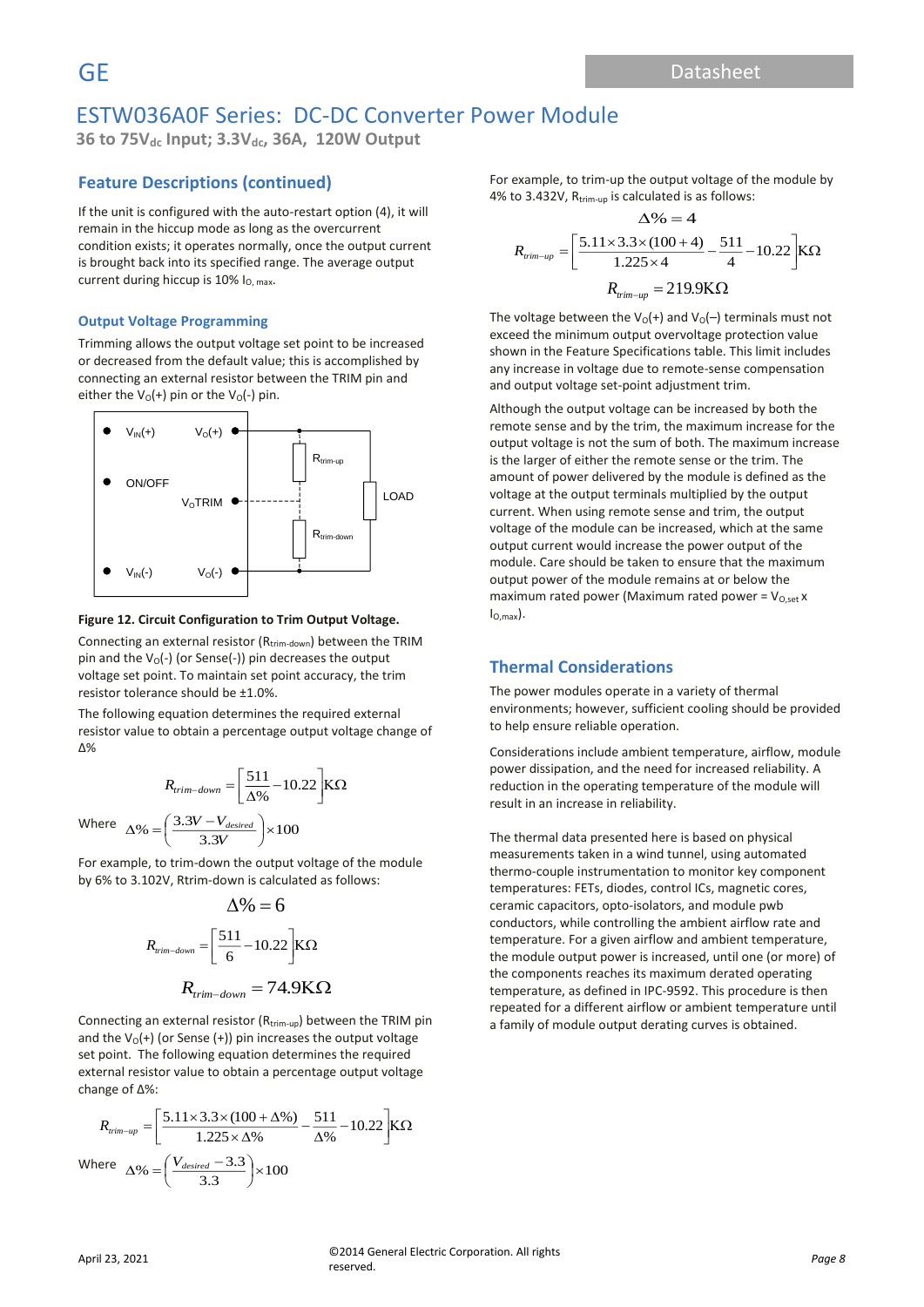**36 to 75Vdc Input; 3.3Vdc, 36A, 120W Output**

### **Feature Descriptions (continued)**

If the unit is configured with the auto-restart option (4), it will remain in the hiccup mode as long as the overcurrent condition exists; it operates normally, once the output current is brought back into its specified range. The average output current during hiccup is  $10\%$  I<sub>O, max</sub>.

#### **Output Voltage Programming**

Trimming allows the output voltage set point to be increased or decreased from the default value; this is accomplished by connecting an external resistor between the TRIM pin and either the  $V_0(+)$  pin or the  $V_0(-)$  pin.



#### **Figure 12. Circuit Configuration to Trim Output Voltage.**

Connecting an external resistor (Rtrim-down) between the TRIM pin and the  $V_0(-)$  (or Sense(-)) pin decreases the output voltage set point. To maintain set point accuracy, the trim resistor tolerance should be ±1.0%.

The following equation determines the required external resistor value to obtain a percentage output voltage change of Δ%

$$
R_{trim-down} = \left[\frac{511}{\Delta\%} - 10.22\right] K\Omega
$$
  
Where 
$$
\Delta\% = \left(\frac{3.3V - V_{desired}}{3.3V}\right) \times 100
$$

For example, to trim-down the output voltage of the module by 6% to 3.102V, Rtrim-down is calculated as follows:

$$
\Delta\% = 6
$$
  

$$
R_{rim-down} = \left[\frac{511}{6} - 10.22\right] K\Omega
$$
  

$$
R_{trim-down} = 74.9 K\Omega
$$

Connecting an external resistor ( $R_{trim-up}$ ) between the TRIM pin and the  $V_0(+)$  (or Sense (+)) pin increases the output voltage set point. The following equation determines the required external resistor value to obtain a percentage output voltage change of Δ%:

$$
R_{\text{trim-up}} = \left[\frac{5.11 \times 3.3 \times (100 + \Delta\%)}{1.225 \times \Delta\%} - \frac{511}{\Delta\%} - 10.22\right] K\Omega
$$
  
Where  $\Delta\% = \left(\frac{V_{desired} - 3.3}{3.3}\right) \times 100$ 

For example, to trim-up the output voltage of the module by 4% to 3.432V, R<sub>trim-up</sub> is calculated is as follows:

$$
\Delta\% = 4
$$
  

$$
R_{\text{rim-up}} = \left[\frac{5.11 \times 3.3 \times (100 + 4)}{1.225 \times 4} - \frac{511}{4} - 10.22\right] K\Omega
$$
  

$$
R_{\text{rim-up}} = 219.9 K\Omega
$$

The voltage between the  $V_0(+)$  and  $V_0(-)$  terminals must not exceed the minimum output overvoltage protection value shown in the Feature Specifications table. This limit includes any increase in voltage due to remote-sense compensation and output voltage set-point adjustment trim.

Although the output voltage can be increased by both the remote sense and by the trim, the maximum increase for the output voltage is not the sum of both. The maximum increase is the larger of either the remote sense or the trim. The amount of power delivered by the module is defined as the voltage at the output terminals multiplied by the output current. When using remote sense and trim, the output voltage of the module can be increased, which at the same output current would increase the power output of the module. Care should be taken to ensure that the maximum output power of the module remains at or below the maximum rated power (Maximum rated power =  $V_{O,set}$  x  $I_{O,max}$ ).

### **Thermal Considerations**

The power modules operate in a variety of thermal environments; however, sufficient cooling should be provided to help ensure reliable operation.

Considerations include ambient temperature, airflow, module power dissipation, and the need for increased reliability. A reduction in the operating temperature of the module will result in an increase in reliability.

The thermal data presented here is based on physical measurements taken in a wind tunnel, using automated thermo-couple instrumentation to monitor key component temperatures: FETs, diodes, control ICs, magnetic cores, ceramic capacitors, opto-isolators, and module pwb conductors, while controlling the ambient airflow rate and temperature. For a given airflow and ambient temperature, the module output power is increased, until one (or more) of the components reaches its maximum derated operating temperature, as defined in IPC-9592. This procedure is then repeated for a different airflow or ambient temperature until a family of module output derating curves is obtained.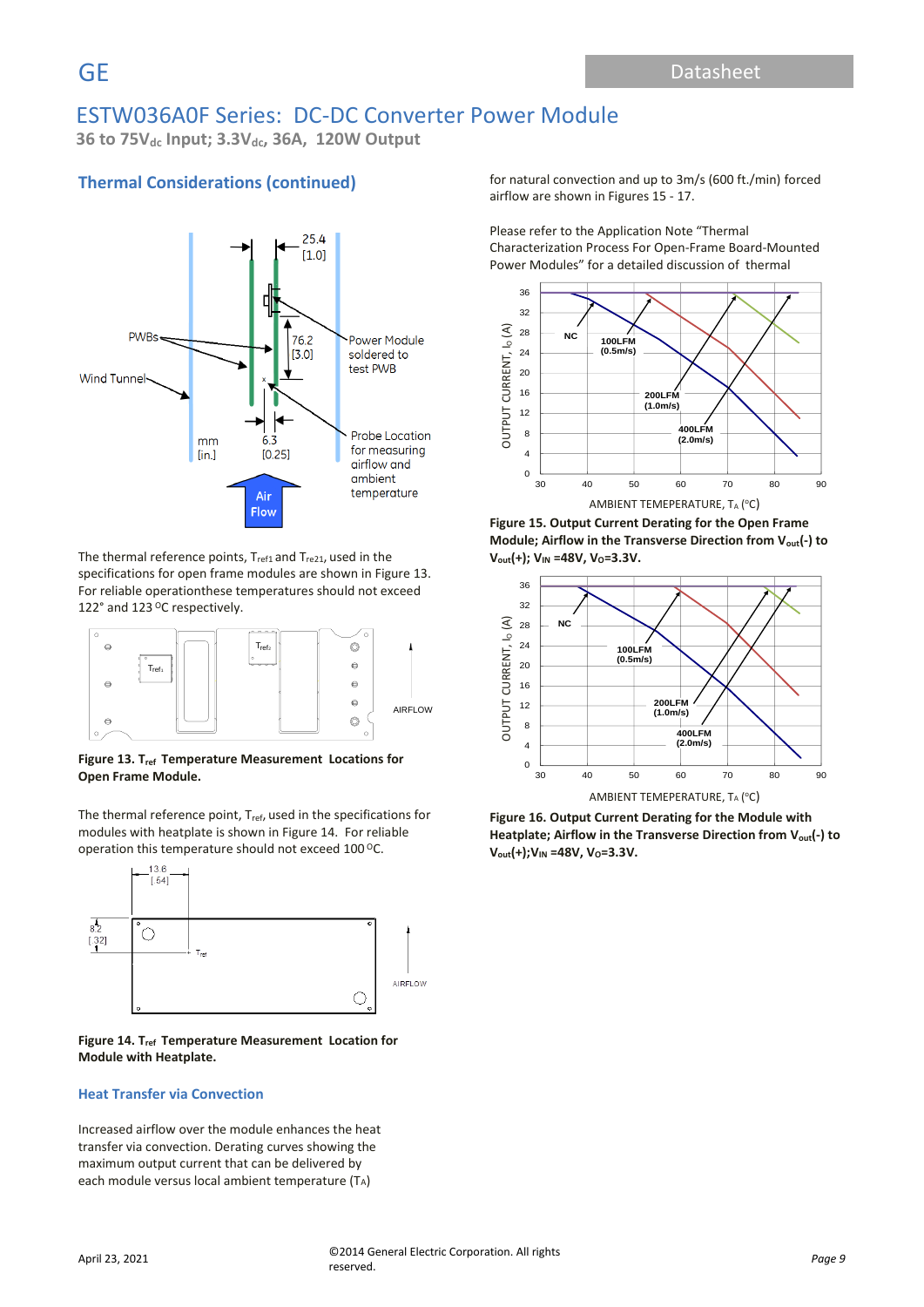**36 to 75Vdc Input; 3.3Vdc, 36A, 120W Output**

# **Thermal Considerations (continued)**



The thermal reference points,  $T_{ref1}$  and  $T_{ref21}$ , used in the specifications for open frame modules are shown in Figure 13. For reliable operationthese temperatures should not exceed 122 $^{\circ}$  and 123 <sup>o</sup>C respectively.



Figure 13. T<sub>ref</sub> Temperature Measurement Locations for **Open Frame Module.** Open Frame Module

The thermal reference point,  $T_{ref}$ , used in the specifications for modules with heatplate is shown in Figure 14. For reliable operation this temperature should not exceed 100  $\degree$ C.



#### **Figure 14. Tref Temperature Measurement Location for Module with Heatplate.**

### **Heat Transfer via Convection**

Increased airflow over the module enhances the heat transfer via convection. Derating curves showing the maximum output current that can be delivered by each module versus local ambient temperature (TA)

for natural convection and up to 3m/s (600 ft./min) forced airflow are shown in Figures 15 - 17.

Please refer to the Application Note "Thermal Characterization Process For Open-Frame Board-Mounted Power Modules" for a detailed discussion of thermal



**Figure 15. Output Current Derating for the Open Frame Module; Airflow in the Transverse Direction from Vout(-) to Vout(+); VIN =48V, VO=3.3V.**



**Figure 16. Output Current Derating for the Module with Heatplate; Airflow in the Transverse Direction from Vout(-) to V**<sub>out</sub>(+);V<sub>IN</sub> =48V, V<sub>O</sub>=3.3V.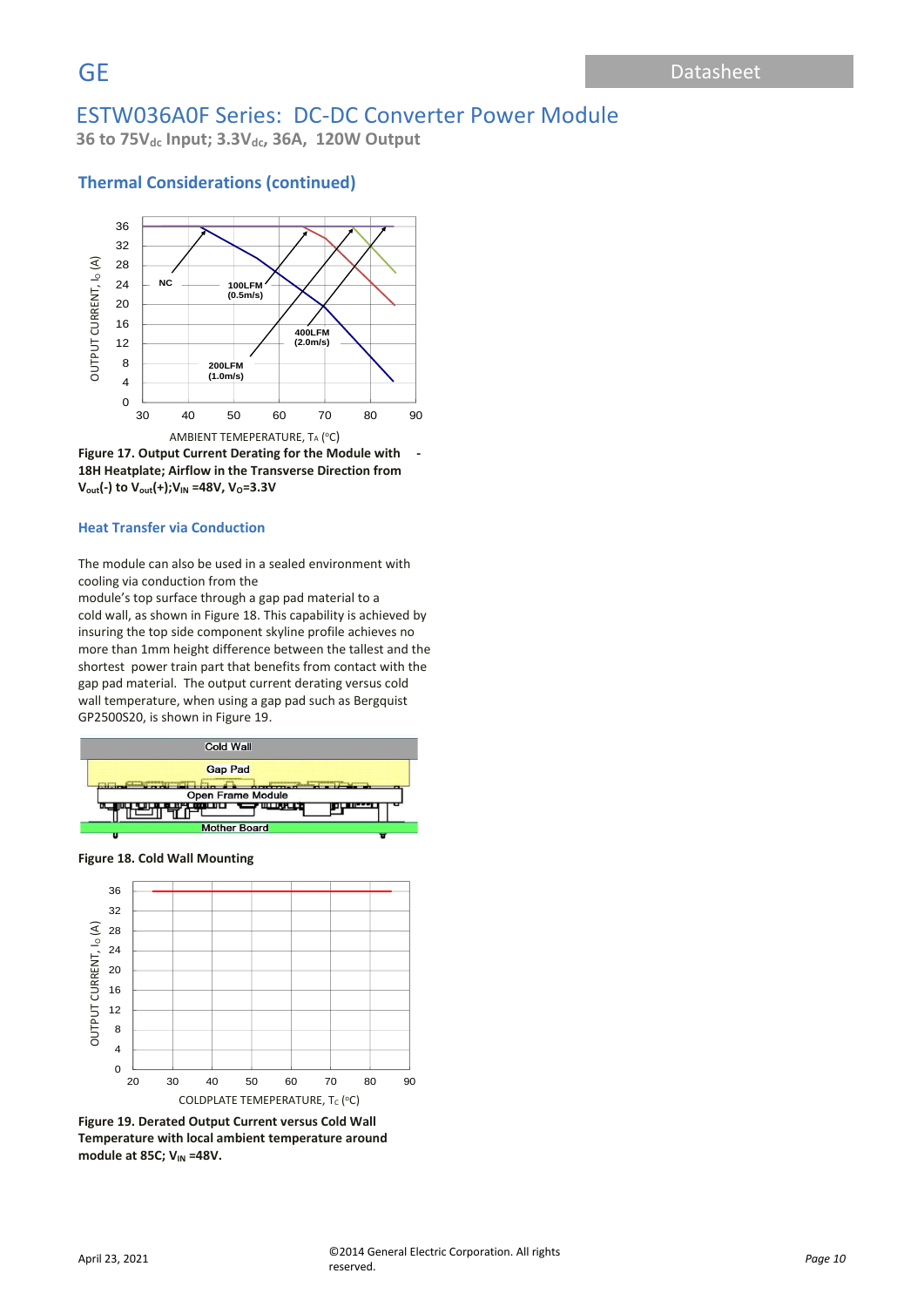**36 to 75Vdc Input; 3.3Vdc, 36A, 120W Output**

### **Thermal Considerations (continued)**





#### **Heat Transfer via Conduction**

The module can also be used in a sealed environment with cooling via conduction from the

module's top surface through a gap pad material to a cold wall, as shown in Figure 18. This capability is achieved by insuring the top side component skyline profile achieves no more than 1mm height difference between the tallest and the shortest power train part that benefits from contact with the gap pad material. The output current derating versus cold wall temperature, when using a gap pad such as Bergquist GP2500S20, is shown in Figure 19.



**Figure 18. Cold Wall Mounting**



**Figure 19. Derated Output Current versus Cold Wall Temperature with local ambient temperature around module at 85C; V<sub>IN</sub> =48V.**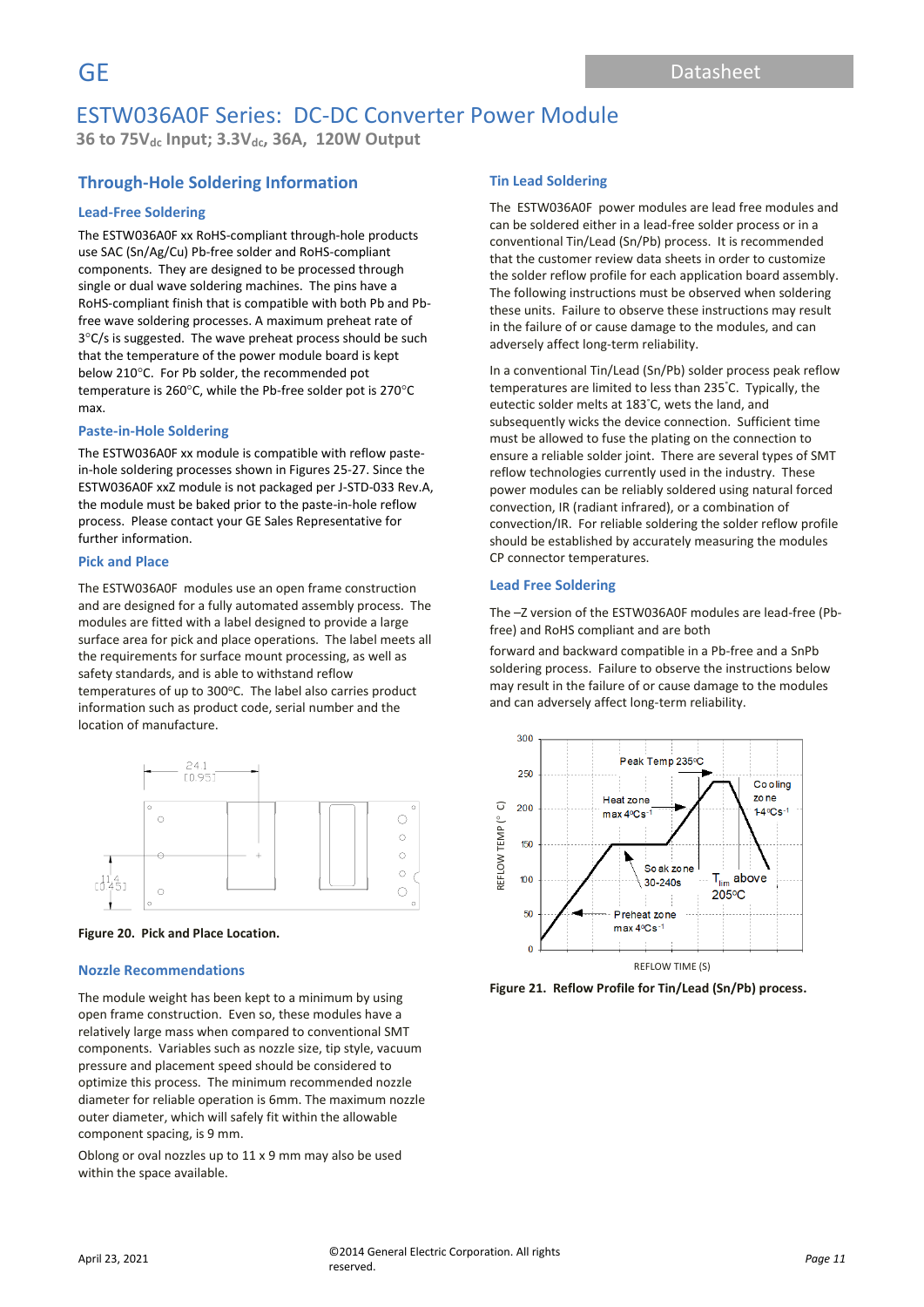**36 to 75Vdc Input; 3.3Vdc, 36A, 120W Output**

# **Through-Hole Soldering Information**

### **Lead-Free Soldering**

The ESTW036A0F xx RoHS-compliant through-hole products use SAC (Sn/Ag/Cu) Pb-free solder and RoHS-compliant components. They are designed to be processed through single or dual wave soldering machines. The pins have a RoHS-compliant finish that is compatible with both Pb and Pbfree wave soldering processes. A maximum preheat rate of  $3^{\circ}$ C/s is suggested. The wave preheat process should be such that the temperature of the power module board is kept below 210°C. For Pb solder, the recommended pot temperature is 260 $\degree$ C, while the Pb-free solder pot is 270 $\degree$ C max.

#### **Paste-in-Hole Soldering**

The ESTW036A0F xx module is compatible with reflow pastein-hole soldering processes shown in Figures 25-27. Since the ESTW036A0F xxZ module is not packaged per J-STD-033 Rev.A, the module must be baked prior to the paste-in-hole reflow process. Please contact your GE Sales Representative for further information.

#### **Pick and Place**

The ESTW036A0F modules use an open frame construction and are designed for a fully automated assembly process. The modules are fitted with a label designed to provide a large surface area for pick and place operations. The label meets all the requirements for surface mount processing, as well as safety standards, and is able to withstand reflow temperatures of up to 300°C. The label also carries product information such as product code, serial number and the location of manufacture.





#### **Nozzle Recommendations**

The module weight has been kept to a minimum by using open frame construction. Even so, these modules have a relatively large mass when compared to conventional SMT components. Variables such as nozzle size, tip style, vacuum pressure and placement speed should be considered to optimize this process. The minimum recommended nozzle diameter for reliable operation is 6mm. The maximum nozzle outer diameter, which will safely fit within the allowable component spacing, is 9 mm.

Oblong or oval nozzles up to 11 x 9 mm may also be used within the space available.

#### **Tin Lead Soldering**

The ESTW036A0F power modules are lead free modules and can be soldered either in a lead-free solder process or in a conventional Tin/Lead (Sn/Pb) process. It is recommended that the customer review data sheets in order to customize the solder reflow profile for each application board assembly. The following instructions must be observed when soldering these units. Failure to observe these instructions may result in the failure of or cause damage to the modules, and can adversely affect long-term reliability.

In a conventional Tin/Lead (Sn/Pb) solder process peak reflow temperatures are limited to less than 235°C. Typically, the eutectic solder melts at 183°C, wets the land, and subsequently wicks the device connection. Sufficient time must be allowed to fuse the plating on the connection to ensure a reliable solder joint. There are several types of SMT reflow technologies currently used in the industry. These power modules can be reliably soldered using natural forced convection, IR (radiant infrared), or a combination of convection/IR. For reliable soldering the solder reflow profile should be established by accurately measuring the modules CP connector temperatures.

#### **Lead Free Soldering**

The –Z version of the ESTW036A0F modules are lead-free (Pbfree) and RoHS compliant and are both

forward and backward compatible in a Pb-free and a SnPb soldering process. Failure to observe the instructions below may result in the failure of or cause damage to the modules and can adversely affect long-term reliability.



**Figure 21. Reflow Profile for Tin/Lead (Sn/Pb) process.**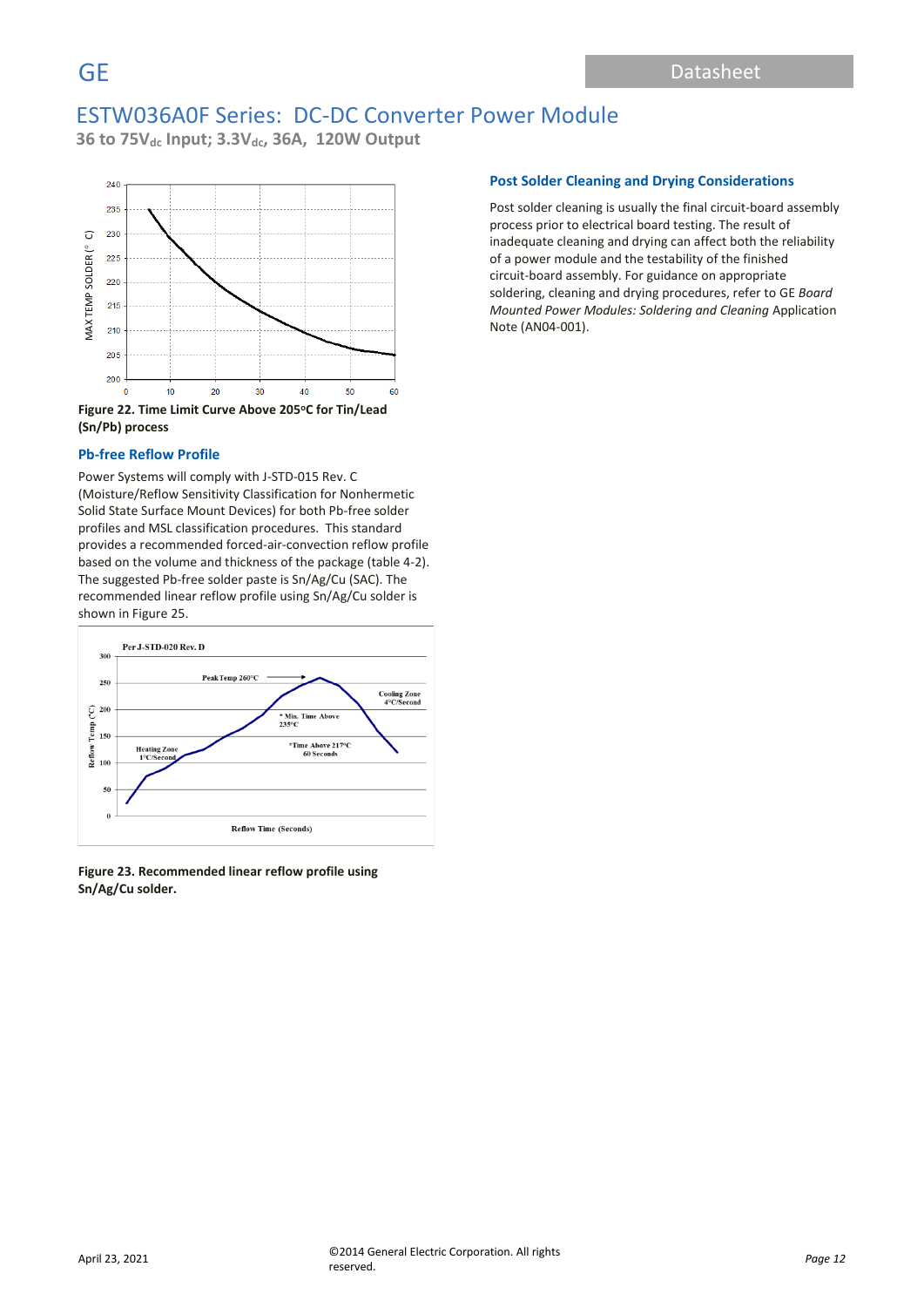**36 to 75Vdc Input; 3.3Vdc, 36A, 120W Output**



**(Sn/Pb) process**

#### **Pb-free Reflow Profile**

Power Systems will comply with J-STD-015 Rev. C (Moisture/Reflow Sensitivity Classification for Nonhermetic Solid State Surface Mount Devices) for both Pb-free solder profiles and MSL classification procedures. This standard provides a recommended forced-air-convection reflow profile based on the volume and thickness of the package (table 4-2). The suggested Pb-free solder paste is Sn/Ag/Cu (SAC). The recommended linear reflow profile using Sn/Ag/Cu solder is shown in Figure 25.



**Figure 23. Recommended linear reflow profile using Sn/Ag/Cu solder.**

### **Post Solder Cleaning and Drying Considerations**

Post solder cleaning is usually the final circuit-board assembly process prior to electrical board testing. The result of inadequate cleaning and drying can affect both the reliability of a power module and the testability of the finished circuit-board assembly. For guidance on appropriate soldering, cleaning and drying procedures, refer to GE *Board Mounted Power Modules: Soldering and Cleaning* Application Note (AN04-001).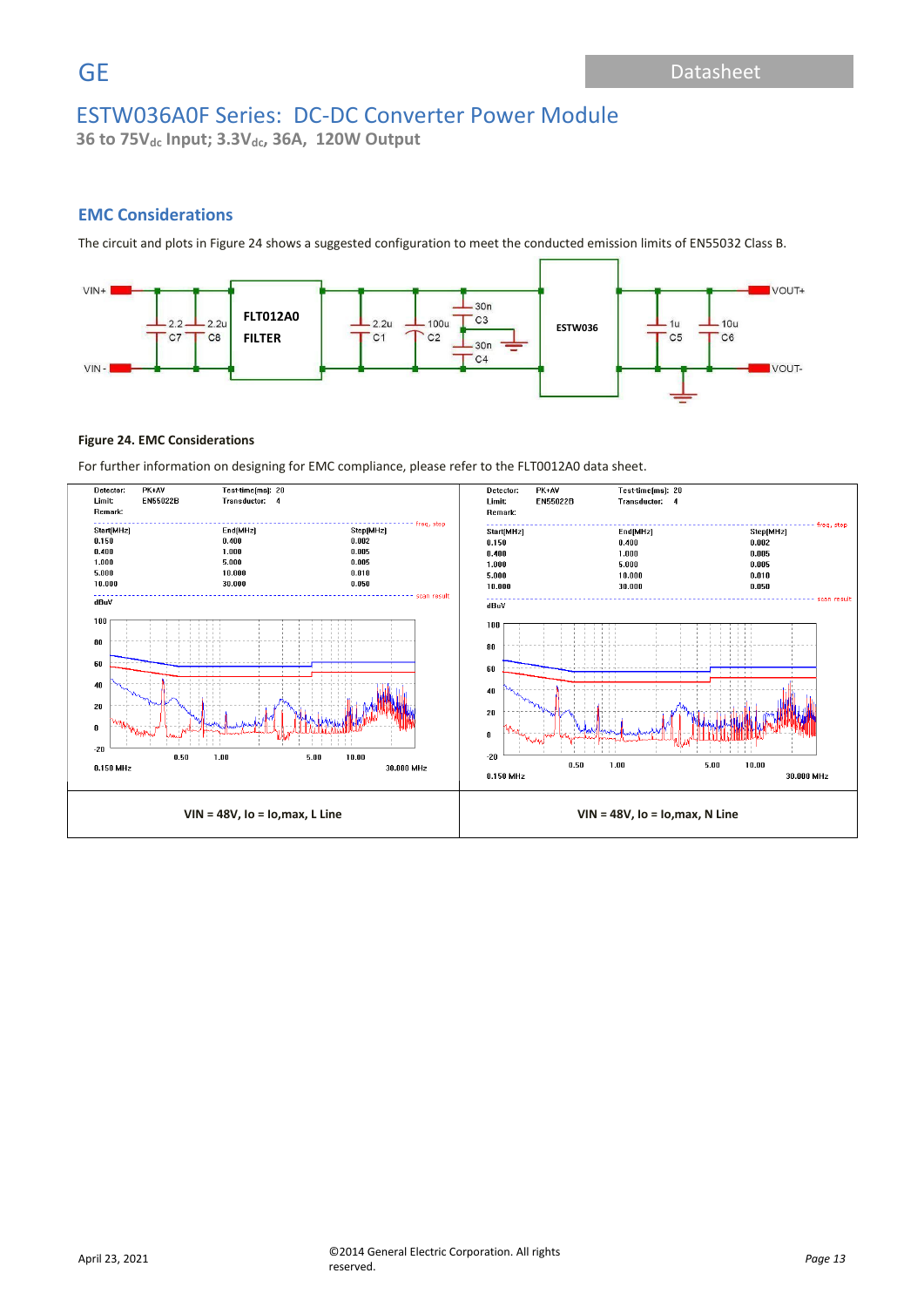**36 to 75Vdc Input; 3.3Vdc, 36A, 120W Output**

## **EMC Considerations**

The circuit and plots in Figure 24 shows a suggested configuration to meet the conducted emission limits of EN55032 Class B.



### **Figure 24. EMC Considerations**

For further information on designing for EMC compliance, please refer to the FLT0012A0 data sheet.

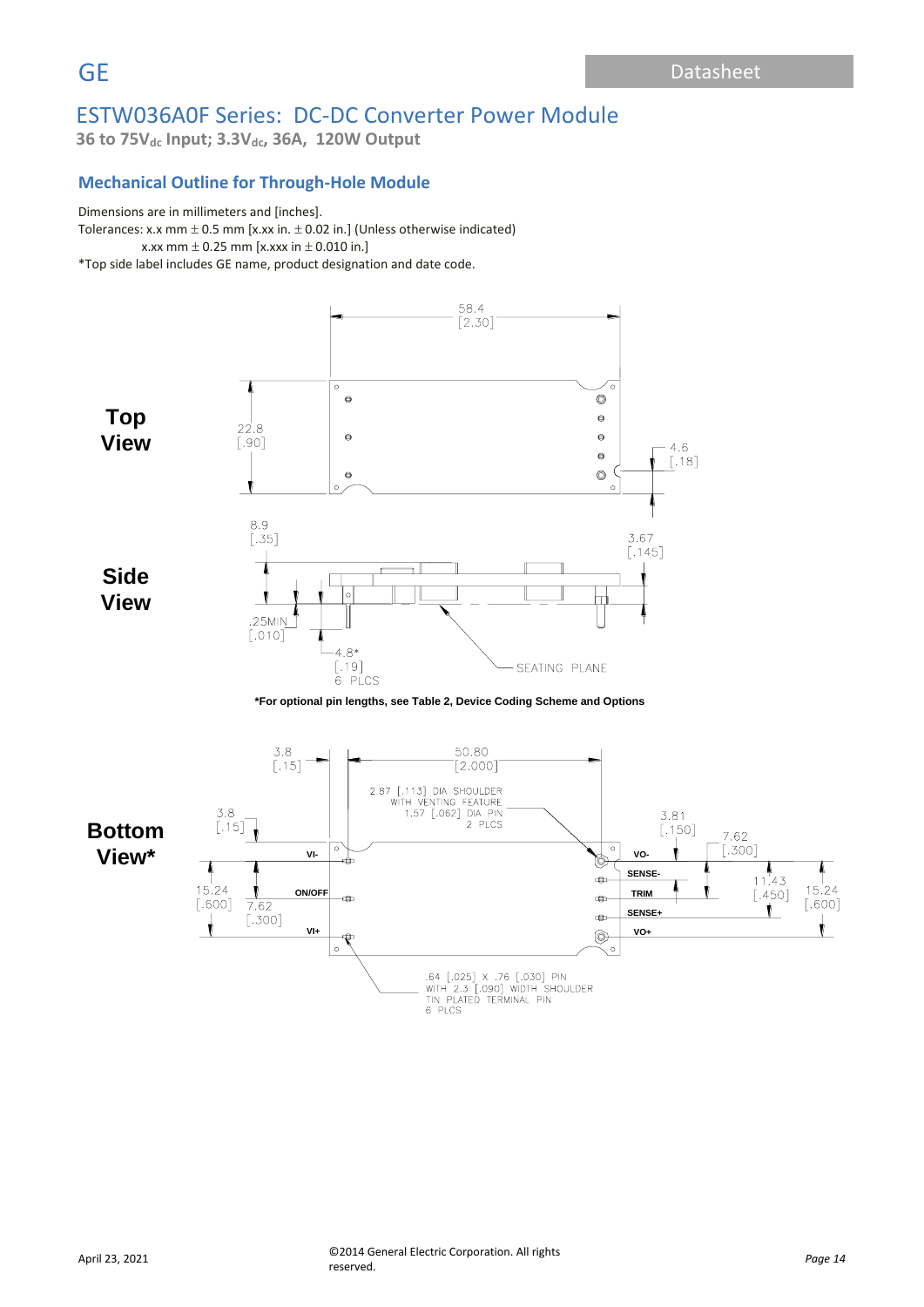**36 to 75Vdc Input; 3.3Vdc, 36A, 120W Output**

## **Mechanical Outline for Through-Hole Module**

### Dimensions are in millimeters and [inches].

ancholone are in minimized being mortery.<br>Tolerances: x.x mm ± 0.5 mm [x.xx in. ± 0.02 in.] (Unless otherwise indicated) x.xx mm  $\pm$  0.25 mm [x.xxx in  $\pm$  0.010 in.] \*Top side label includes GE name, product designation and date code.

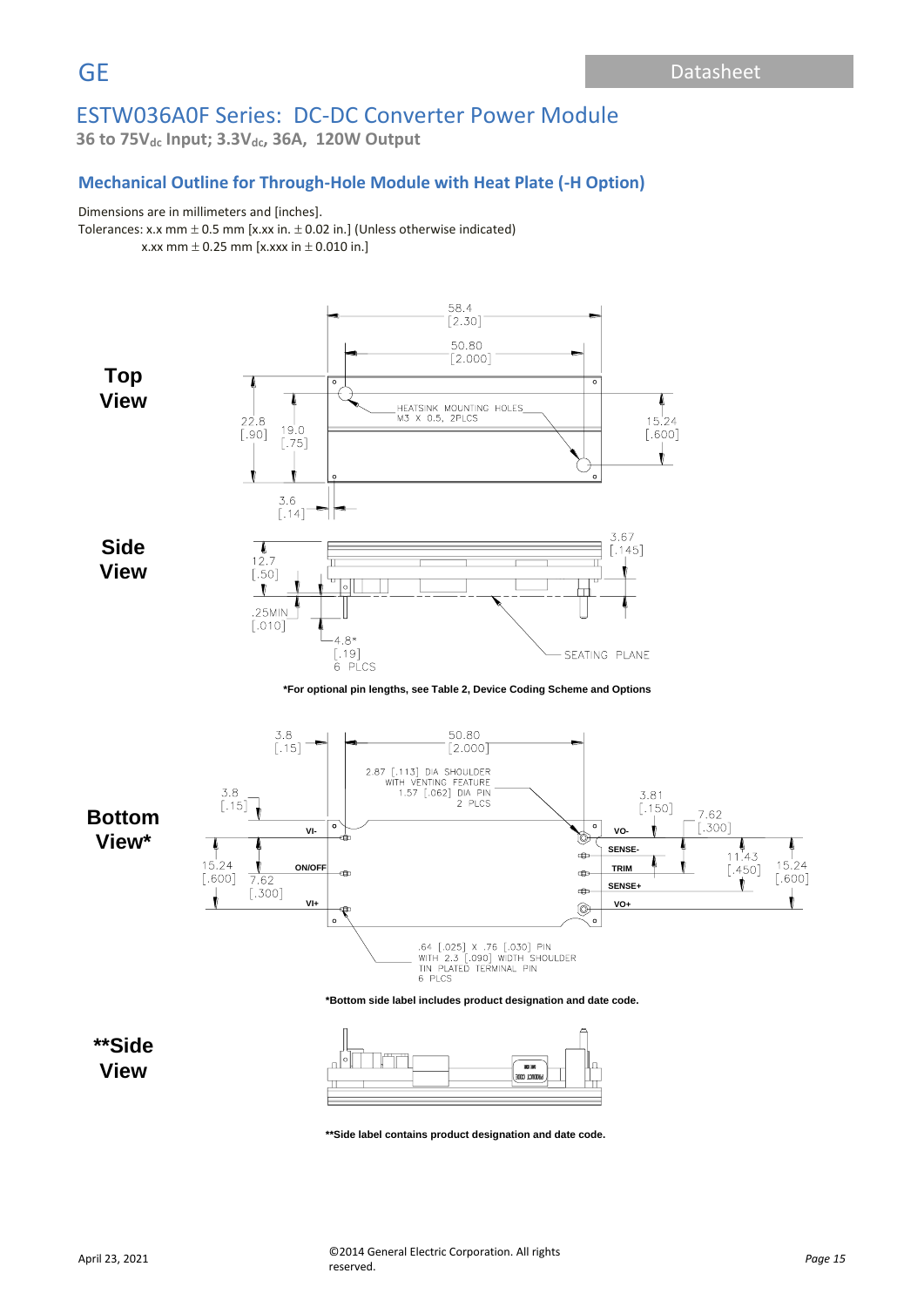**36 to 75Vdc Input; 3.3Vdc, 36A, 120W Output**

### **Mechanical Outline for Through-Hole Module with Heat Plate (-H Option)**

### Dimensions are in millimeters and [inches].

Tolerances: x.x mm  $\pm$  0.5 mm [x.xx in.  $\pm$  0.02 in.] (Unless otherwise indicated) x.xx mm  $\pm$  0.25 mm [x.xxx in  $\pm$  0.010 in.]



**View**



**\*\*Side label contains product designation and date code.**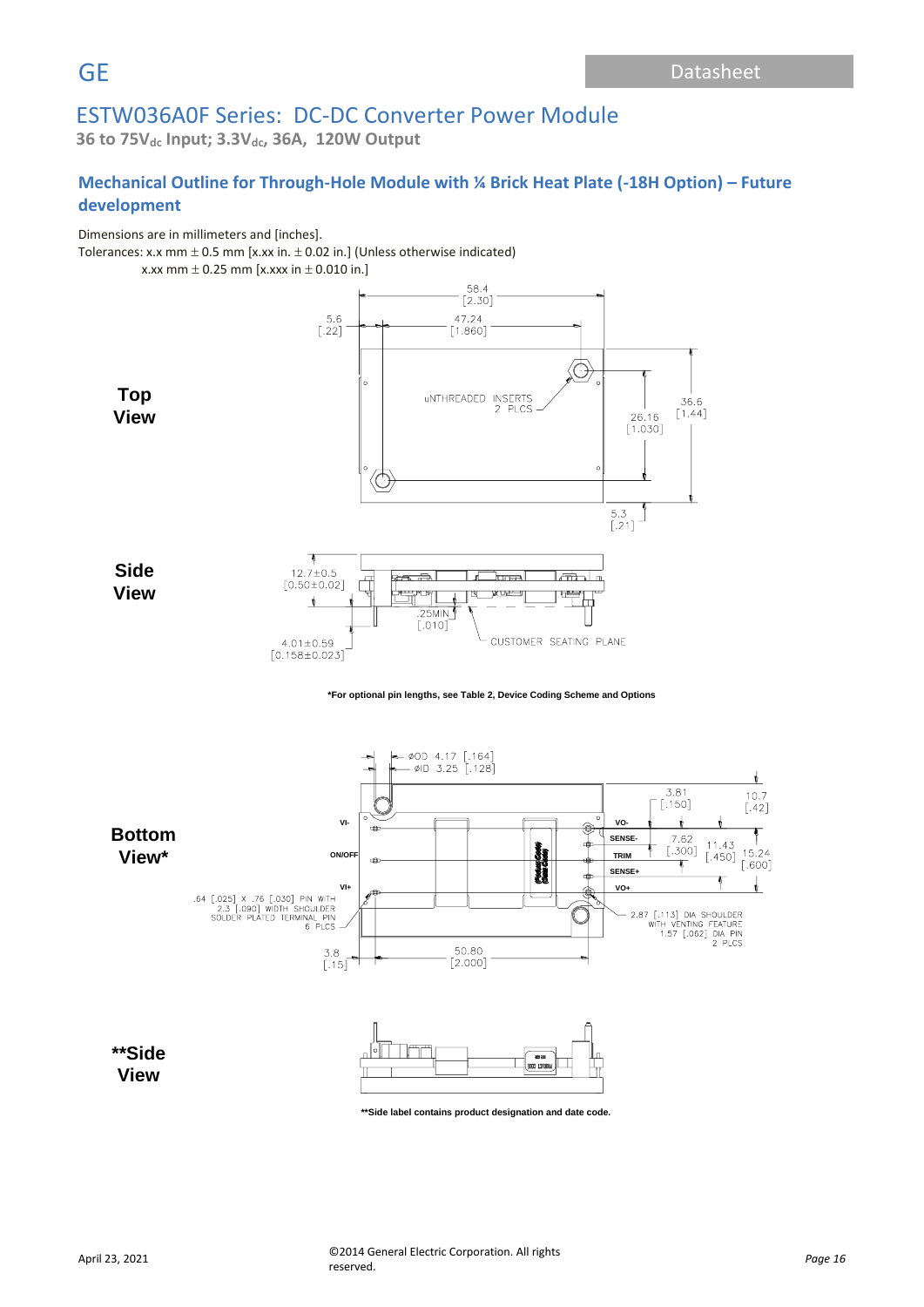**36 to 75Vdc Input; 3.3Vdc, 36A, 120W Output**

# **Mechanical Outline for Through-Hole Module with ¼ Brick Heat Plate (-18H Option) – Future development**

Dimensions are in millimeters and [inches].

 $T$ olerances: x.x mm  $\pm$  0.5 mm [x.xx in.  $\pm$  0.02 in.] (Unless otherwise indicated)

x.xx mm  $\pm$  0.25 mm [x.xxx in  $\pm$  0.010 in.]





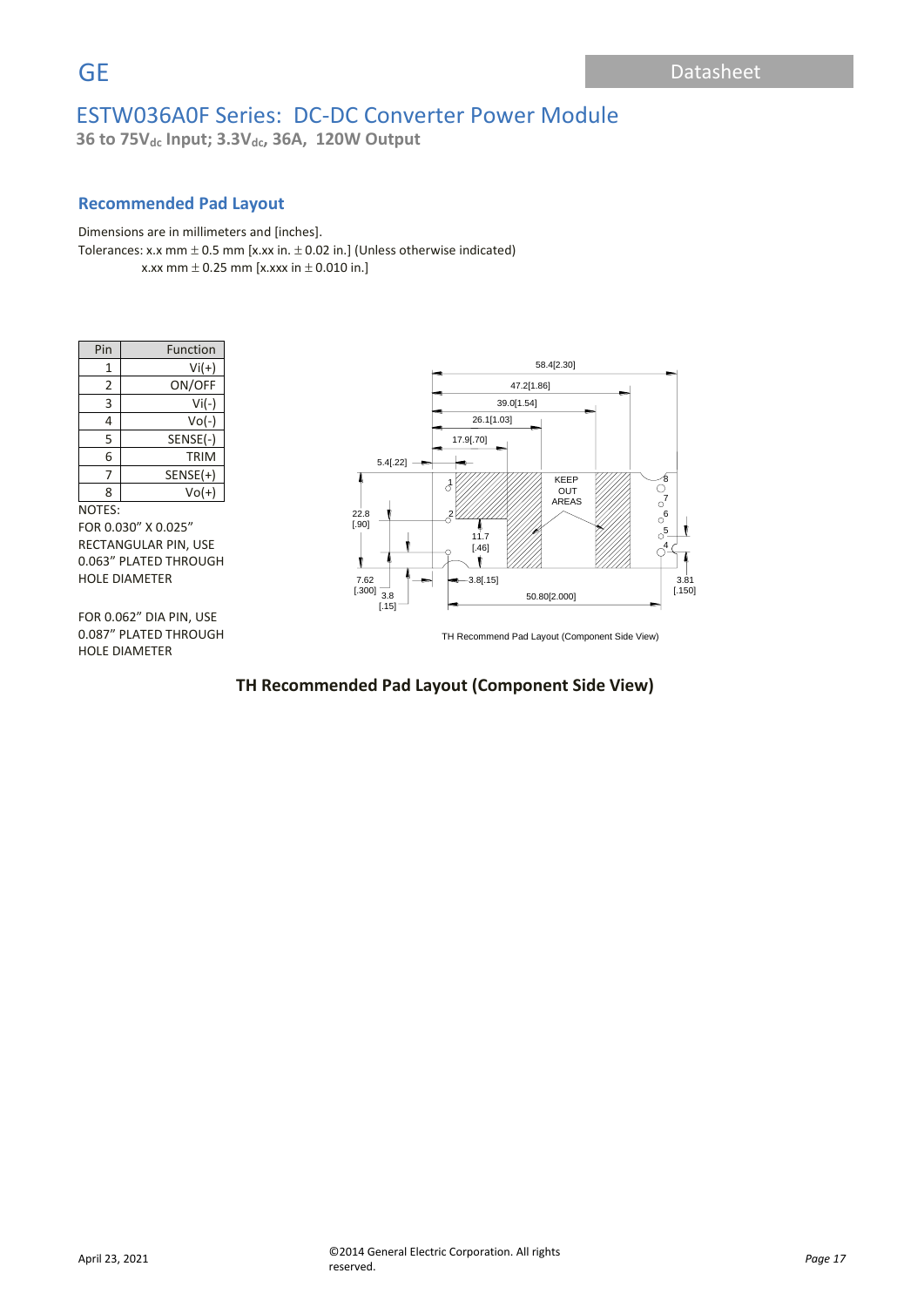**36 to 75Vdc Input; 3.3Vdc, 36A, 120W Output**

## **Recommended Pad Layout**

Dimensions are in millimeters and [inches]. Tolerances: x.x mm  $\pm$  0.5 mm [x.xx in.  $\pm$  0.02 in.] (Unless otherwise indicated) x.xx mm  $\pm$  0.25 mm [x.xxx in  $\pm$  0.010 in.]

| Pin | Function   |
|-----|------------|
| 1   | $Vi(+)$    |
| 2   | ON/OFF     |
| 3   | $Vi(-)$    |
| 4   | $Vo(-)$    |
| 5   | SENSE(-)   |
| 6   | TRIM       |
|     | $SENSE(+)$ |
| 8   | $Vol(+)$   |

#### NOTES:

FOR 0.030" X 0.025" RECTANGULAR PIN, USE 0.063" PLATED THROUGH HOLE DIAMETER

FOR 0.062" DIA PIN, USE 0.087" PLATED THROUGH HOLE DIAMETER



TH Recommend Pad Layout (Component Side View)

# **TH Recommended Pad Layout (Component Side View)**